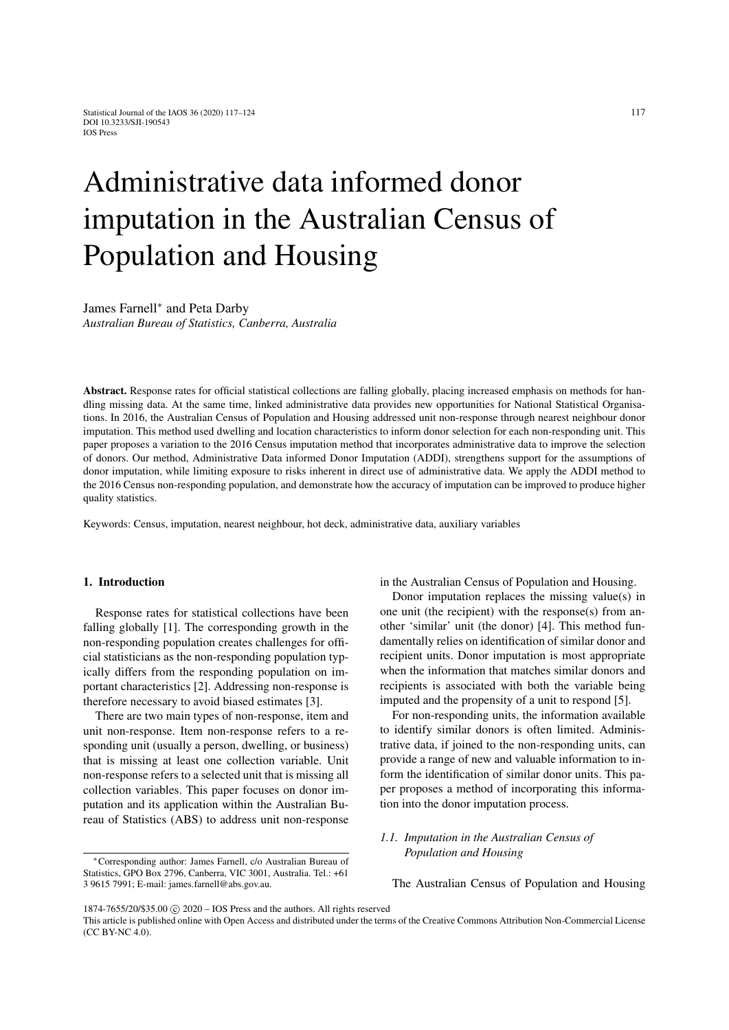# Administrative data informed donor imputation in the Australian Census of Population and Housing

James Farnell<sup>∗</sup> and Peta Darby *Australian Bureau of Statistics, Canberra, Australia*

Abstract. Response rates for official statistical collections are falling globally, placing increased emphasis on methods for handling missing data. At the same time, linked administrative data provides new opportunities for National Statistical Organisations. In 2016, the Australian Census of Population and Housing addressed unit non-response through nearest neighbour donor imputation. This method used dwelling and location characteristics to inform donor selection for each non-responding unit. This paper proposes a variation to the 2016 Census imputation method that incorporates administrative data to improve the selection of donors. Our method, Administrative Data informed Donor Imputation (ADDI), strengthens support for the assumptions of donor imputation, while limiting exposure to risks inherent in direct use of administrative data. We apply the ADDI method to the 2016 Census non-responding population, and demonstrate how the accuracy of imputation can be improved to produce higher quality statistics.

Keywords: Census, imputation, nearest neighbour, hot deck, administrative data, auxiliary variables

## 1. Introduction

Response rates for statistical collections have been falling globally [\[1\]](#page-6-0). The corresponding growth in the non-responding population creates challenges for official statisticians as the non-responding population typically differs from the responding population on important characteristics [\[2\]](#page-6-1). Addressing non-response is therefore necessary to avoid biased estimates [\[3\]](#page-6-2).

There are two main types of non-response, item and unit non-response. Item non-response refers to a responding unit (usually a person, dwelling, or business) that is missing at least one collection variable. Unit non-response refers to a selected unit that is missing all collection variables. This paper focuses on donor imputation and its application within the Australian Bureau of Statistics (ABS) to address unit non-response

<sup>∗</sup>Corresponding author: James Farnell, c/o Australian Bureau of Statistics, GPO Box 2796, Canberra, VIC 3001, Australia. Tel.: +61 3 9615 7991; E-mail: james.farnell@abs.gov.au.

in the Australian Census of Population and Housing.

Donor imputation replaces the missing value(s) in one unit (the recipient) with the response(s) from another 'similar' unit (the donor) [\[4\]](#page-6-3). This method fundamentally relies on identification of similar donor and recipient units. Donor imputation is most appropriate when the information that matches similar donors and recipients is associated with both the variable being imputed and the propensity of a unit to respond [\[5\]](#page-6-4).

For non-responding units, the information available to identify similar donors is often limited. Administrative data, if joined to the non-responding units, can provide a range of new and valuable information to inform the identification of similar donor units. This paper proposes a method of incorporating this information into the donor imputation process.

# *1.1. Imputation in the Australian Census of Population and Housing*

The Australian Census of Population and Housing

<sup>1874-7655/20/\$35.00 © 2020 -</sup> IOS Press and the authors. All rights reserved

This article is published online with Open Access and distributed under the terms of the Creative Commons Attribution Non-Commercial License (CC BY-NC 4.0).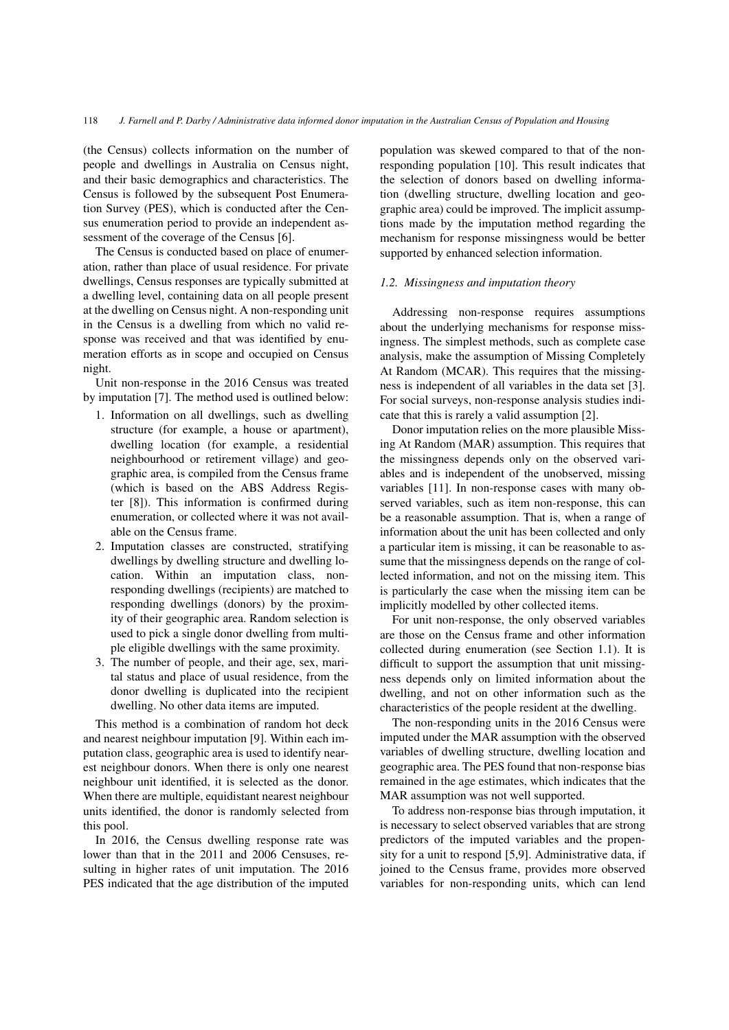(the Census) collects information on the number of people and dwellings in Australia on Census night, and their basic demographics and characteristics. The Census is followed by the subsequent Post Enumeration Survey (PES), which is conducted after the Census enumeration period to provide an independent assessment of the coverage of the Census [\[6\]](#page-6-5).

The Census is conducted based on place of enumeration, rather than place of usual residence. For private dwellings, Census responses are typically submitted at a dwelling level, containing data on all people present at the dwelling on Census night. A non-responding unit in the Census is a dwelling from which no valid response was received and that was identified by enumeration efforts as in scope and occupied on Census night.

Unit non-response in the 2016 Census was treated by imputation [\[7\]](#page-6-6). The method used is outlined below:

- 1. Information on all dwellings, such as dwelling structure (for example, a house or apartment), dwelling location (for example, a residential neighbourhood or retirement village) and geographic area, is compiled from the Census frame (which is based on the ABS Address Register [\[8\]](#page-6-7)). This information is confirmed during enumeration, or collected where it was not available on the Census frame.
- 2. Imputation classes are constructed, stratifying dwellings by dwelling structure and dwelling location. Within an imputation class, nonresponding dwellings (recipients) are matched to responding dwellings (donors) by the proximity of their geographic area. Random selection is used to pick a single donor dwelling from multiple eligible dwellings with the same proximity.
- 3. The number of people, and their age, sex, marital status and place of usual residence, from the donor dwelling is duplicated into the recipient dwelling. No other data items are imputed.

This method is a combination of random hot deck and nearest neighbour imputation [\[9\]](#page-6-8). Within each imputation class, geographic area is used to identify nearest neighbour donors. When there is only one nearest neighbour unit identified, it is selected as the donor. When there are multiple, equidistant nearest neighbour units identified, the donor is randomly selected from this pool.

In 2016, the Census dwelling response rate was lower than that in the 2011 and 2006 Censuses, resulting in higher rates of unit imputation. The 2016 PES indicated that the age distribution of the imputed population was skewed compared to that of the nonresponding population [\[10\]](#page-6-9). This result indicates that the selection of donors based on dwelling information (dwelling structure, dwelling location and geographic area) could be improved. The implicit assumptions made by the imputation method regarding the mechanism for response missingness would be better supported by enhanced selection information.

#### *1.2. Missingness and imputation theory*

Addressing non-response requires assumptions about the underlying mechanisms for response missingness. The simplest methods, such as complete case analysis, make the assumption of Missing Completely At Random (MCAR). This requires that the missingness is independent of all variables in the data set [\[3\]](#page-6-2). For social surveys, non-response analysis studies indicate that this is rarely a valid assumption [\[2\]](#page-6-1).

Donor imputation relies on the more plausible Missing At Random (MAR) assumption. This requires that the missingness depends only on the observed variables and is independent of the unobserved, missing variables [\[11\]](#page-6-10). In non-response cases with many observed variables, such as item non-response, this can be a reasonable assumption. That is, when a range of information about the unit has been collected and only a particular item is missing, it can be reasonable to assume that the missingness depends on the range of collected information, and not on the missing item. This is particularly the case when the missing item can be implicitly modelled by other collected items.

For unit non-response, the only observed variables are those on the Census frame and other information collected during enumeration (see Section 1.1). It is difficult to support the assumption that unit missingness depends only on limited information about the dwelling, and not on other information such as the characteristics of the people resident at the dwelling.

The non-responding units in the 2016 Census were imputed under the MAR assumption with the observed variables of dwelling structure, dwelling location and geographic area. The PES found that non-response bias remained in the age estimates, which indicates that the MAR assumption was not well supported.

To address non-response bias through imputation, it is necessary to select observed variables that are strong predictors of the imputed variables and the propensity for a unit to respond [\[5](#page-6-4)[,9\]](#page-6-8). Administrative data, if joined to the Census frame, provides more observed variables for non-responding units, which can lend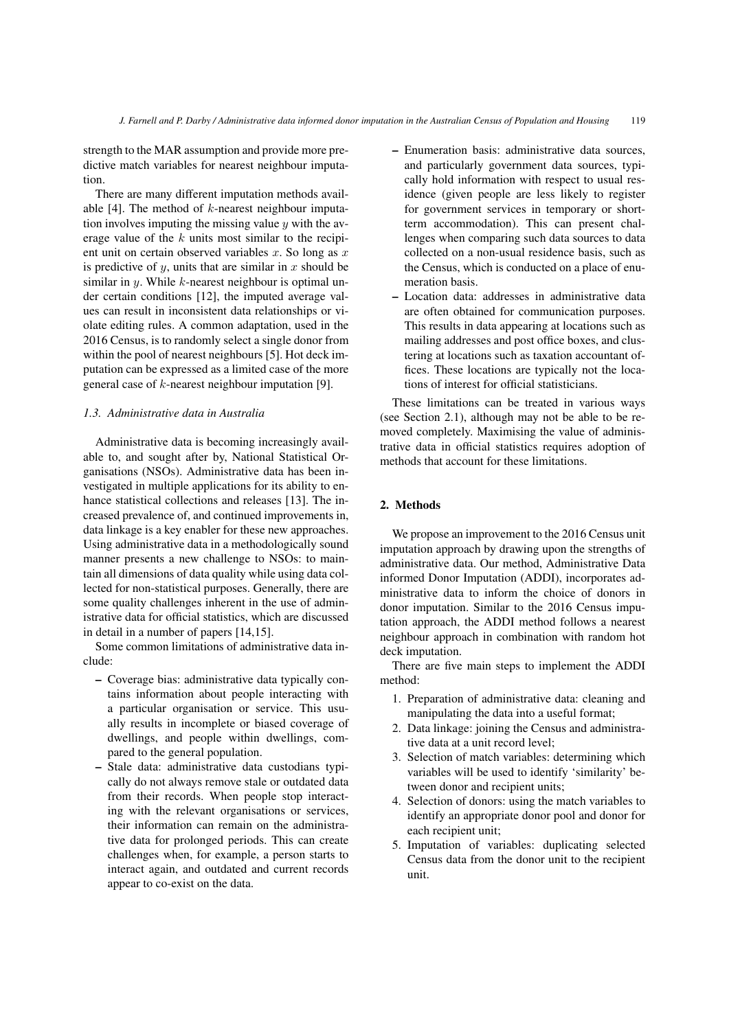strength to the MAR assumption and provide more predictive match variables for nearest neighbour imputation.

There are many different imputation methods avail-able [\[4\]](#page-6-3). The method of  $k$ -nearest neighbour imputation involves imputing the missing value  $\psi$  with the average value of the  $k$  units most similar to the recipient unit on certain observed variables  $x$ . So long as  $x$ is predictive of  $y$ , units that are similar in  $x$  should be similar in  $y$ . While  $k$ -nearest neighbour is optimal under certain conditions [\[12\]](#page-6-11), the imputed average values can result in inconsistent data relationships or violate editing rules. A common adaptation, used in the 2016 Census, is to randomly select a single donor from within the pool of nearest neighbours [\[5\]](#page-6-4). Hot deck imputation can be expressed as a limited case of the more general case of k-nearest neighbour imputation [\[9\]](#page-6-8).

## *1.3. Administrative data in Australia*

Administrative data is becoming increasingly available to, and sought after by, National Statistical Organisations (NSOs). Administrative data has been investigated in multiple applications for its ability to enhance statistical collections and releases [\[13\]](#page-6-12). The increased prevalence of, and continued improvements in, data linkage is a key enabler for these new approaches. Using administrative data in a methodologically sound manner presents a new challenge to NSOs: to maintain all dimensions of data quality while using data collected for non-statistical purposes. Generally, there are some quality challenges inherent in the use of administrative data for official statistics, which are discussed in detail in a number of papers [\[14,](#page-6-13)[15\]](#page-7-0).

Some common limitations of administrative data include:

- Coverage bias: administrative data typically contains information about people interacting with a particular organisation or service. This usually results in incomplete or biased coverage of dwellings, and people within dwellings, compared to the general population.
- Stale data: administrative data custodians typically do not always remove stale or outdated data from their records. When people stop interacting with the relevant organisations or services, their information can remain on the administrative data for prolonged periods. This can create challenges when, for example, a person starts to interact again, and outdated and current records appear to co-exist on the data.
- Enumeration basis: administrative data sources, and particularly government data sources, typically hold information with respect to usual residence (given people are less likely to register for government services in temporary or shortterm accommodation). This can present challenges when comparing such data sources to data collected on a non-usual residence basis, such as the Census, which is conducted on a place of enumeration basis.
- Location data: addresses in administrative data are often obtained for communication purposes. This results in data appearing at locations such as mailing addresses and post office boxes, and clustering at locations such as taxation accountant offices. These locations are typically not the locations of interest for official statisticians.

These limitations can be treated in various ways (see Section 2.1), although may not be able to be removed completely. Maximising the value of administrative data in official statistics requires adoption of methods that account for these limitations.

# 2. Methods

We propose an improvement to the 2016 Census unit imputation approach by drawing upon the strengths of administrative data. Our method, Administrative Data informed Donor Imputation (ADDI), incorporates administrative data to inform the choice of donors in donor imputation. Similar to the 2016 Census imputation approach, the ADDI method follows a nearest neighbour approach in combination with random hot deck imputation.

There are five main steps to implement the ADDI method:

- 1. Preparation of administrative data: cleaning and manipulating the data into a useful format;
- 2. Data linkage: joining the Census and administrative data at a unit record level;
- 3. Selection of match variables: determining which variables will be used to identify 'similarity' between donor and recipient units;
- 4. Selection of donors: using the match variables to identify an appropriate donor pool and donor for each recipient unit;
- 5. Imputation of variables: duplicating selected Census data from the donor unit to the recipient unit.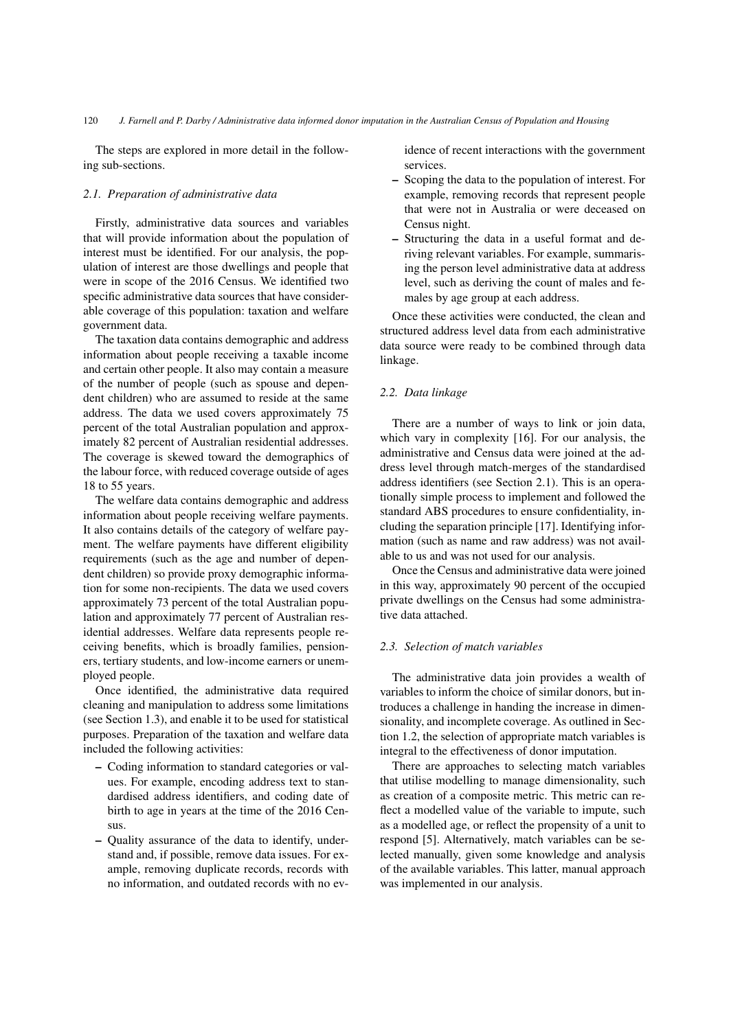The steps are explored in more detail in the following sub-sections.

## *2.1. Preparation of administrative data*

Firstly, administrative data sources and variables that will provide information about the population of interest must be identified. For our analysis, the population of interest are those dwellings and people that were in scope of the 2016 Census. We identified two specific administrative data sources that have considerable coverage of this population: taxation and welfare government data.

The taxation data contains demographic and address information about people receiving a taxable income and certain other people. It also may contain a measure of the number of people (such as spouse and dependent children) who are assumed to reside at the same address. The data we used covers approximately 75 percent of the total Australian population and approximately 82 percent of Australian residential addresses. The coverage is skewed toward the demographics of the labour force, with reduced coverage outside of ages 18 to 55 years.

The welfare data contains demographic and address information about people receiving welfare payments. It also contains details of the category of welfare payment. The welfare payments have different eligibility requirements (such as the age and number of dependent children) so provide proxy demographic information for some non-recipients. The data we used covers approximately 73 percent of the total Australian population and approximately 77 percent of Australian residential addresses. Welfare data represents people receiving benefits, which is broadly families, pensioners, tertiary students, and low-income earners or unemployed people.

Once identified, the administrative data required cleaning and manipulation to address some limitations (see Section 1.3), and enable it to be used for statistical purposes. Preparation of the taxation and welfare data included the following activities:

- Coding information to standard categories or values. For example, encoding address text to standardised address identifiers, and coding date of birth to age in years at the time of the 2016 Census.
- Quality assurance of the data to identify, understand and, if possible, remove data issues. For example, removing duplicate records, records with no information, and outdated records with no ev-

idence of recent interactions with the government services.

- Scoping the data to the population of interest. For example, removing records that represent people that were not in Australia or were deceased on Census night.
- Structuring the data in a useful format and deriving relevant variables. For example, summarising the person level administrative data at address level, such as deriving the count of males and females by age group at each address.

Once these activities were conducted, the clean and structured address level data from each administrative data source were ready to be combined through data linkage.

## *2.2. Data linkage*

There are a number of ways to link or join data, which vary in complexity [\[16\]](#page-7-1). For our analysis, the administrative and Census data were joined at the address level through match-merges of the standardised address identifiers (see Section 2.1). This is an operationally simple process to implement and followed the standard ABS procedures to ensure confidentiality, including the separation principle [\[17\]](#page-7-2). Identifying information (such as name and raw address) was not available to us and was not used for our analysis.

Once the Census and administrative data were joined in this way, approximately 90 percent of the occupied private dwellings on the Census had some administrative data attached.

#### *2.3. Selection of match variables*

The administrative data join provides a wealth of variables to inform the choice of similar donors, but introduces a challenge in handing the increase in dimensionality, and incomplete coverage. As outlined in Section 1.2, the selection of appropriate match variables is integral to the effectiveness of donor imputation.

There are approaches to selecting match variables that utilise modelling to manage dimensionality, such as creation of a composite metric. This metric can reflect a modelled value of the variable to impute, such as a modelled age, or reflect the propensity of a unit to respond [\[5\]](#page-6-4). Alternatively, match variables can be selected manually, given some knowledge and analysis of the available variables. This latter, manual approach was implemented in our analysis.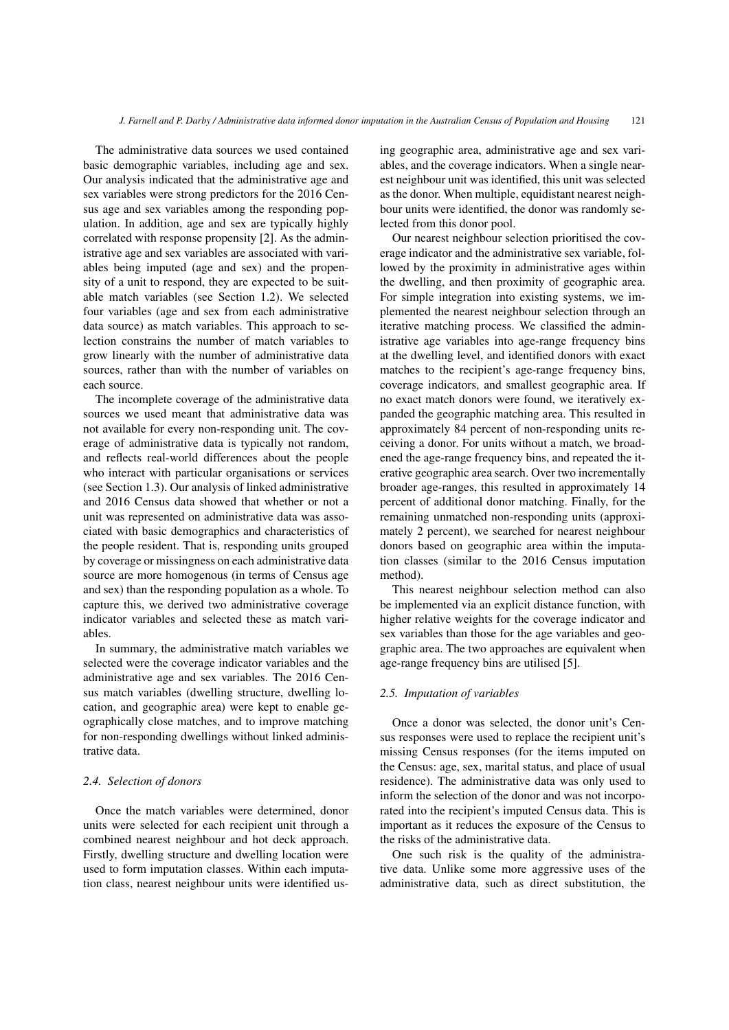The administrative data sources we used contained basic demographic variables, including age and sex. Our analysis indicated that the administrative age and sex variables were strong predictors for the 2016 Census age and sex variables among the responding population. In addition, age and sex are typically highly correlated with response propensity [\[2\]](#page-6-1). As the administrative age and sex variables are associated with variables being imputed (age and sex) and the propensity of a unit to respond, they are expected to be suitable match variables (see Section 1.2). We selected four variables (age and sex from each administrative data source) as match variables. This approach to selection constrains the number of match variables to grow linearly with the number of administrative data sources, rather than with the number of variables on each source.

The incomplete coverage of the administrative data sources we used meant that administrative data was not available for every non-responding unit. The coverage of administrative data is typically not random, and reflects real-world differences about the people who interact with particular organisations or services (see Section 1.3). Our analysis of linked administrative and 2016 Census data showed that whether or not a unit was represented on administrative data was associated with basic demographics and characteristics of the people resident. That is, responding units grouped by coverage or missingness on each administrative data source are more homogenous (in terms of Census age and sex) than the responding population as a whole. To capture this, we derived two administrative coverage indicator variables and selected these as match variables.

In summary, the administrative match variables we selected were the coverage indicator variables and the administrative age and sex variables. The 2016 Census match variables (dwelling structure, dwelling location, and geographic area) were kept to enable geographically close matches, and to improve matching for non-responding dwellings without linked administrative data.

## *2.4. Selection of donors*

Once the match variables were determined, donor units were selected for each recipient unit through a combined nearest neighbour and hot deck approach. Firstly, dwelling structure and dwelling location were used to form imputation classes. Within each imputation class, nearest neighbour units were identified using geographic area, administrative age and sex variables, and the coverage indicators. When a single nearest neighbour unit was identified, this unit was selected as the donor. When multiple, equidistant nearest neighbour units were identified, the donor was randomly selected from this donor pool.

Our nearest neighbour selection prioritised the coverage indicator and the administrative sex variable, followed by the proximity in administrative ages within the dwelling, and then proximity of geographic area. For simple integration into existing systems, we implemented the nearest neighbour selection through an iterative matching process. We classified the administrative age variables into age-range frequency bins at the dwelling level, and identified donors with exact matches to the recipient's age-range frequency bins, coverage indicators, and smallest geographic area. If no exact match donors were found, we iteratively expanded the geographic matching area. This resulted in approximately 84 percent of non-responding units receiving a donor. For units without a match, we broadened the age-range frequency bins, and repeated the iterative geographic area search. Over two incrementally broader age-ranges, this resulted in approximately 14 percent of additional donor matching. Finally, for the remaining unmatched non-responding units (approximately 2 percent), we searched for nearest neighbour donors based on geographic area within the imputation classes (similar to the 2016 Census imputation method).

This nearest neighbour selection method can also be implemented via an explicit distance function, with higher relative weights for the coverage indicator and sex variables than those for the age variables and geographic area. The two approaches are equivalent when age-range frequency bins are utilised [\[5\]](#page-6-4).

### *2.5. Imputation of variables*

Once a donor was selected, the donor unit's Census responses were used to replace the recipient unit's missing Census responses (for the items imputed on the Census: age, sex, marital status, and place of usual residence). The administrative data was only used to inform the selection of the donor and was not incorporated into the recipient's imputed Census data. This is important as it reduces the exposure of the Census to the risks of the administrative data.

One such risk is the quality of the administrative data. Unlike some more aggressive uses of the administrative data, such as direct substitution, the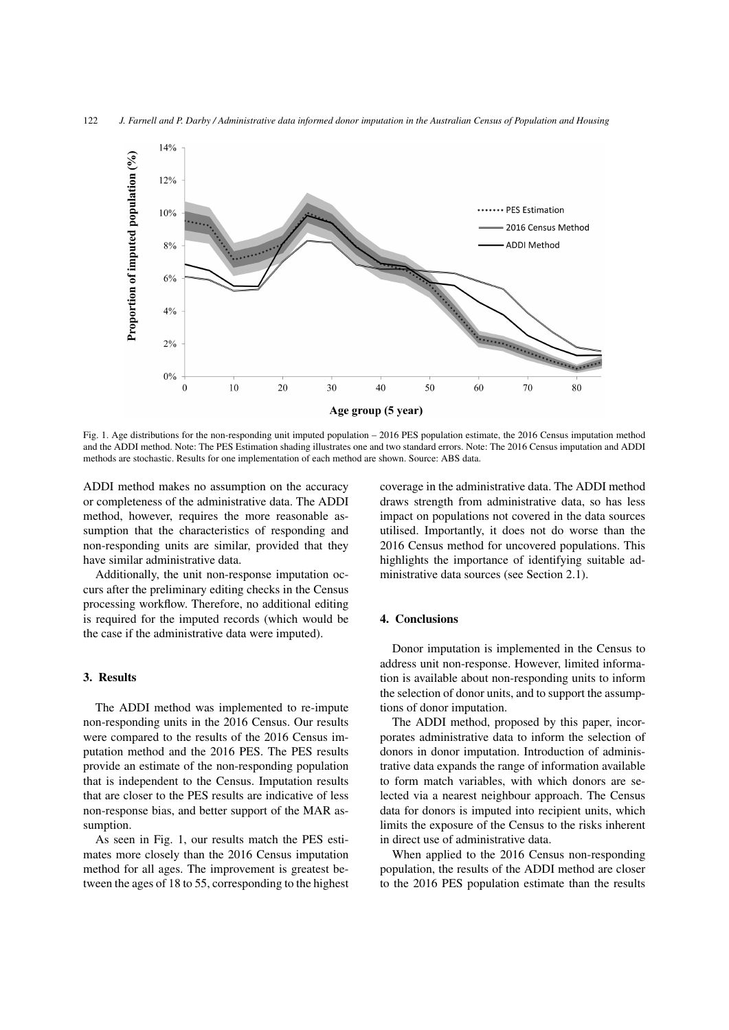

<span id="page-5-0"></span>Fig. 1. Age distributions for the non-responding unit imputed population – 2016 PES population estimate, the 2016 Census imputation method and the ADDI method. Note: The PES Estimation shading illustrates one and two standard errors. Note: The 2016 Census imputation and ADDI methods are stochastic. Results for one implementation of each method are shown. Source: ABS data.

ADDI method makes no assumption on the accuracy or completeness of the administrative data. The ADDI method, however, requires the more reasonable assumption that the characteristics of responding and non-responding units are similar, provided that they have similar administrative data.

Additionally, the unit non-response imputation occurs after the preliminary editing checks in the Census processing workflow. Therefore, no additional editing is required for the imputed records (which would be the case if the administrative data were imputed).

## 3. Results

The ADDI method was implemented to re-impute non-responding units in the 2016 Census. Our results were compared to the results of the 2016 Census imputation method and the 2016 PES. The PES results provide an estimate of the non-responding population that is independent to the Census. Imputation results that are closer to the PES results are indicative of less non-response bias, and better support of the MAR assumption.

As seen in Fig. [1,](#page-5-0) our results match the PES estimates more closely than the 2016 Census imputation method for all ages. The improvement is greatest between the ages of 18 to 55, corresponding to the highest coverage in the administrative data. The ADDI method draws strength from administrative data, so has less impact on populations not covered in the data sources utilised. Importantly, it does not do worse than the 2016 Census method for uncovered populations. This highlights the importance of identifying suitable administrative data sources (see Section 2.1).

#### 4. Conclusions

Donor imputation is implemented in the Census to address unit non-response. However, limited information is available about non-responding units to inform the selection of donor units, and to support the assumptions of donor imputation.

The ADDI method, proposed by this paper, incorporates administrative data to inform the selection of donors in donor imputation. Introduction of administrative data expands the range of information available to form match variables, with which donors are selected via a nearest neighbour approach. The Census data for donors is imputed into recipient units, which limits the exposure of the Census to the risks inherent in direct use of administrative data.

When applied to the 2016 Census non-responding population, the results of the ADDI method are closer to the 2016 PES population estimate than the results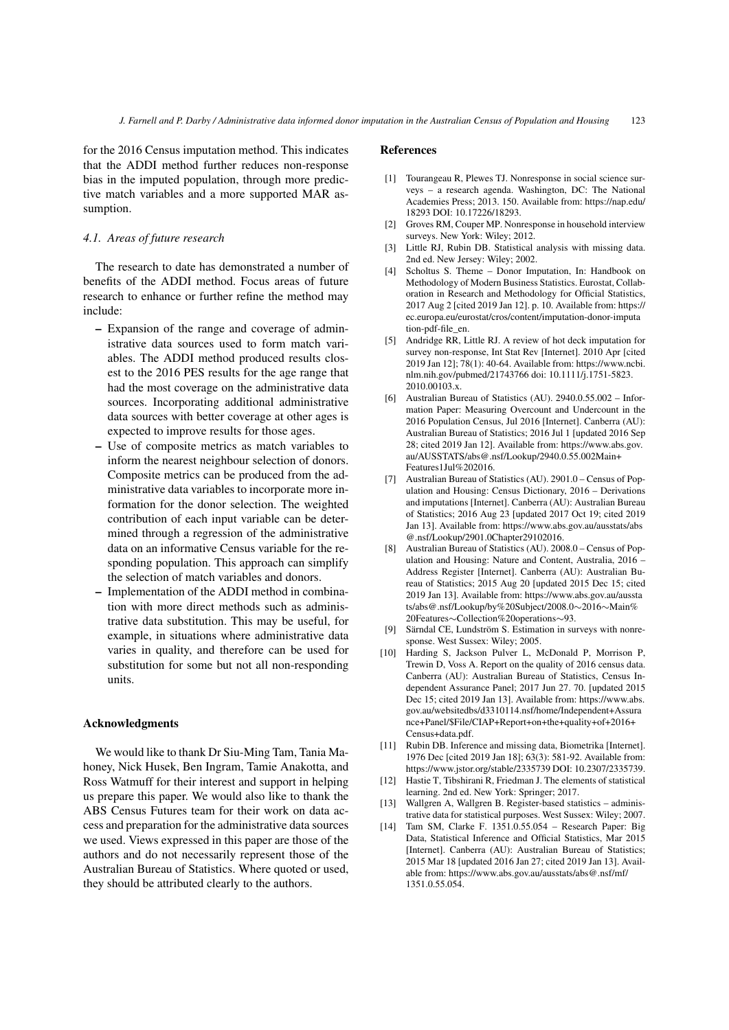for the 2016 Census imputation method. This indicates that the ADDI method further reduces non-response bias in the imputed population, through more predictive match variables and a more supported MAR assumption.

## *4.1. Areas of future research*

The research to date has demonstrated a number of benefits of the ADDI method. Focus areas of future research to enhance or further refine the method may include:

- Expansion of the range and coverage of administrative data sources used to form match variables. The ADDI method produced results closest to the 2016 PES results for the age range that had the most coverage on the administrative data sources. Incorporating additional administrative data sources with better coverage at other ages is expected to improve results for those ages.
- Use of composite metrics as match variables to inform the nearest neighbour selection of donors. Composite metrics can be produced from the administrative data variables to incorporate more information for the donor selection. The weighted contribution of each input variable can be determined through a regression of the administrative data on an informative Census variable for the responding population. This approach can simplify the selection of match variables and donors.
- Implementation of the ADDI method in combination with more direct methods such as administrative data substitution. This may be useful, for example, in situations where administrative data varies in quality, and therefore can be used for substitution for some but not all non-responding units.

#### Acknowledgments

We would like to thank Dr Siu-Ming Tam, Tania Mahoney, Nick Husek, Ben Ingram, Tamie Anakotta, and Ross Watmuff for their interest and support in helping us prepare this paper. We would also like to thank the ABS Census Futures team for their work on data access and preparation for the administrative data sources we used. Views expressed in this paper are those of the authors and do not necessarily represent those of the Australian Bureau of Statistics. Where quoted or used, they should be attributed clearly to the authors.

#### References

- <span id="page-6-0"></span>[1] Tourangeau R, Plewes TJ. Nonresponse in social science surveys – a research agenda. Washington, DC: The National Academies Press; 2013. 150. Available from: https://nap.edu/ 18293 DOI: 10.17226/18293.
- <span id="page-6-1"></span>[2] Groves RM, Couper MP. Nonresponse in household interview surveys. New York: Wiley; 2012.
- <span id="page-6-2"></span>[3] Little RJ, Rubin DB. Statistical analysis with missing data. 2nd ed. New Jersey: Wiley; 2002.
- <span id="page-6-3"></span>Scholtus S. Theme – Donor Imputation, In: Handbook on Methodology of Modern Business Statistics. Eurostat, Collaboration in Research and Methodology for Official Statistics, 2017 Aug 2 [cited 2019 Jan 12]. p. 10. Available from: https:// ec.europa.eu/eurostat/cros/content/imputation-donor-imputa tion-pdf-file\_en.
- <span id="page-6-4"></span>[5] Andridge RR, Little RJ. A review of hot deck imputation for survey non-response, Int Stat Rev [Internet]. 2010 Apr [cited 2019 Jan 12]; 78(1): 40-64. Available from: https://www.ncbi. nlm.nih.gov/pubmed/21743766 doi: 10.1111/j.1751-5823. 2010.00103.x.
- <span id="page-6-5"></span>[6] Australian Bureau of Statistics (AU). 2940.0.55.002 – Information Paper: Measuring Overcount and Undercount in the 2016 Population Census, Jul 2016 [Internet]. Canberra (AU): Australian Bureau of Statistics; 2016 Jul 1 [updated 2016 Sep 28; cited 2019 Jan 12]. Available from: https://www.abs.gov. au/AUSSTATS/abs@.nsf/Lookup/2940.0.55.002Main+ Features1Jul%202016.
- <span id="page-6-6"></span>[7] Australian Bureau of Statistics (AU). 2901.0 – Census of Population and Housing: Census Dictionary, 2016 – Derivations and imputations [Internet]. Canberra (AU): Australian Bureau of Statistics; 2016 Aug 23 [updated 2017 Oct 19; cited 2019 Jan 13]. Available from: https://www.abs.gov.au/ausstats/abs @.nsf/Lookup/2901.0Chapter29102016.
- <span id="page-6-7"></span>[8] Australian Bureau of Statistics (AU). 2008.0 – Census of Population and Housing: Nature and Content, Australia, 2016 – Address Register [Internet]. Canberra (AU): Australian Bureau of Statistics; 2015 Aug 20 [updated 2015 Dec 15; cited 2019 Jan 13]. Available from: https://www.abs.gov.au/aussta ts/abs@.nsf/Lookup/by%20Subject/2008.0∼2016∼Main% 20Features∼Collection%20operations∼93.
- <span id="page-6-8"></span>[9] Särndal CE, Lundström S. Estimation in surveys with nonresponse. West Sussex: Wiley; 2005.
- <span id="page-6-9"></span>[10] Harding S, Jackson Pulver L, McDonald P, Morrison P, Trewin D, Voss A. Report on the quality of 2016 census data. Canberra (AU): Australian Bureau of Statistics, Census Independent Assurance Panel; 2017 Jun 27. 70. [updated 2015 Dec 15; cited 2019 Jan 13]. Available from: https://www.abs. gov.au/websitedbs/d3310114.nsf/home/Independent+Assura nce+Panel/\$File/CIAP+Report+on+the+quality+of+2016+ Census+data.pdf.
- <span id="page-6-10"></span>[11] Rubin DB. Inference and missing data, Biometrika [Internet]. 1976 Dec [cited 2019 Jan 18]; 63(3): 581-92. Available from: https://www.jstor.org/stable/2335739 DOI: 10.2307/2335739.
- <span id="page-6-11"></span>[12] Hastie T, Tibshirani R, Friedman J. The elements of statistical learning. 2nd ed. New York: Springer; 2017.
- <span id="page-6-12"></span>[13] Wallgren A, Wallgren B. Register-based statistics – administrative data for statistical purposes. West Sussex: Wiley; 2007.
- <span id="page-6-13"></span>[14] Tam SM, Clarke F. 1351.0.55.054 – Research Paper: Big Data, Statistical Inference and Official Statistics, Mar 2015 [Internet]. Canberra (AU): Australian Bureau of Statistics; 2015 Mar 18 [updated 2016 Jan 27; cited 2019 Jan 13]. Available from: https://www.abs.gov.au/ausstats/abs@.nsf/mf/ 1351.0.55.054.